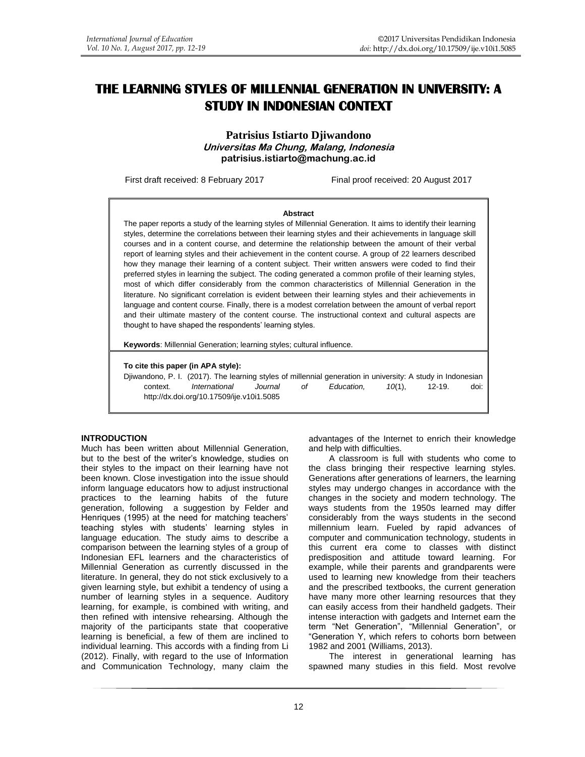# **THE LEARNING STYLES OF MILLENNIAL GENERATION IN UNIVERSITY: A STUDY IN INDONESIAN CONTEXT**

**Patrisius Istiarto Djiwandono Universitas Ma Chung, Malang, Indonesia [patrisius.istiarto@machung.ac.id](mailto:patrisius.istiarto@machung.ac.id)**

First draft received: 8 February 2017 Final proof received: 20 August 2017

#### **Abstract**

The paper reports a study of the learning styles of Millennial Generation. It aims to identify their learning styles, determine the correlations between their learning styles and their achievements in language skill courses and in a content course, and determine the relationship between the amount of their verbal report of learning styles and their achievement in the content course. A group of 22 learners described how they manage their learning of a content subject. Their written answers were coded to find their preferred styles in learning the subject. The coding generated a common profile of their learning styles, most of which differ considerably from the common characteristics of Millennial Generation in the literature. No significant correlation is evident between their learning styles and their achievements in language and content course. Finally, there is a modest correlation between the amount of verbal report and their ultimate mastery of the content course. The instructional context and cultural aspects are thought to have shaped the respondents' learning styles.

**Keywords**: Millennial Generation; learning styles; cultural influence.

#### **To cite this paper (in APA style):**

Djiwandono, P. I. (2017). The learning styles of millennial generation in university: A study in Indonesian context. *International Journal of Education, 10*(1), 12-19. doi: http://dx.doi.org/10.17509/ije.v10i1.5085

#### **INTRODUCTION**

Much has been written about Millennial Generation, but to the best of the writer's knowledge, studies on their styles to the impact on their learning have not been known. Close investigation into the issue should inform language educators how to adjust instructional practices to the learning habits of the future generation, following a suggestion by Felder and Henriques (1995) at the need for matching teachers' teaching styles with students' learning styles in language education. The study aims to describe a comparison between the learning styles of a group of Indonesian EFL learners and the characteristics of Millennial Generation as currently discussed in the literature. In general, they do not stick exclusively to a given learning style, but exhibit a tendency of using a number of learning styles in a sequence. Auditory learning, for example, is combined with writing, and then refined with intensive rehearsing. Although the majority of the participants state that cooperative learning is beneficial, a few of them are inclined to individual learning. This accords with a finding from Li (2012). Finally, with regard to the use of Information and Communication Technology, many claim the advantages of the Internet to enrich their knowledge and help with difficulties.

A classroom is full with students who come to the class bringing their respective learning styles. Generations after generations of learners, the learning styles may undergo changes in accordance with the changes in the society and modern technology. The ways students from the 1950s learned may differ considerably from the ways students in the second millennium learn. Fueled by rapid advances of computer and communication technology, students in this current era come to classes with distinct predisposition and attitude toward learning. For example, while their parents and grandparents were used to learning new knowledge from their teachers and the prescribed textbooks, the current generation have many more other learning resources that they can easily access from their handheld gadgets. Their intense interaction with gadgets and Internet earn the term "Net Generation", "Millennial Generation", or "Generation Y, which refers to cohorts born between 1982 and 2001 (Williams, 2013).

The interest in generational learning has spawned many studies in this field. Most revolve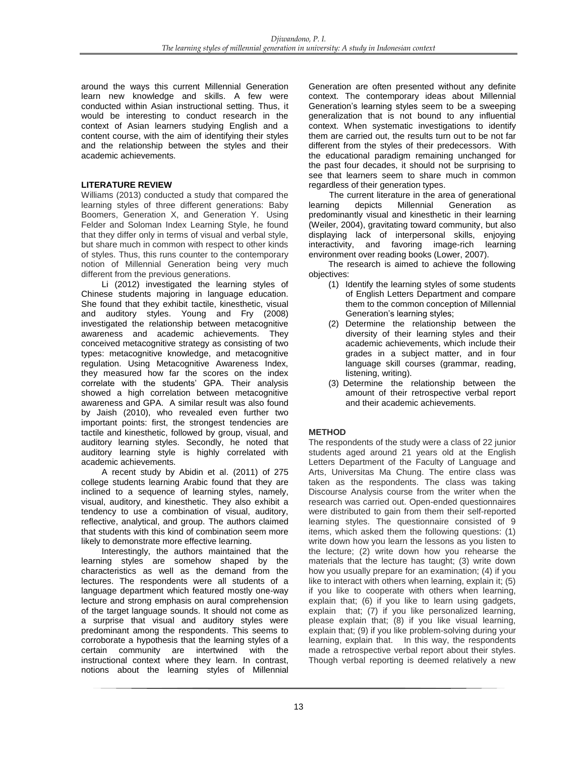around the ways this current Millennial Generation learn new knowledge and skills. A few were conducted within Asian instructional setting. Thus, it would be interesting to conduct research in the context of Asian learners studying English and a content course, with the aim of identifying their styles and the relationship between the styles and their academic achievements.

## **LITERATURE REVIEW**

Williams (2013) conducted a study that compared the learning styles of three different generations: Baby Boomers, Generation X, and Generation Y. Using Felder and Soloman Index Learning Style, he found that they differ only in terms of visual and verbal style, but share much in common with respect to other kinds of styles. Thus, this runs counter to the contemporary notion of Millennial Generation being very much different from the previous generations.

Li (2012) investigated the learning styles of Chinese students majoring in language education. She found that they exhibit tactile, kinesthetic, visual and auditory styles. Young and Fry (2008) investigated the relationship between metacognitive awareness and academic achievements. They conceived metacognitive strategy as consisting of two types: metacognitive knowledge, and metacognitive regulation. Using Metacognitive Awareness Index, they measured how far the scores on the index correlate with the students' GPA. Their analysis showed a high correlation between metacognitive awareness and GPA. A similar result was also found by Jaish (2010), who revealed even further two important points: first, the strongest tendencies are tactile and kinesthetic, followed by group, visual, and auditory learning styles. Secondly, he noted that auditory learning style is highly correlated with academic achievements.

A recent study by Abidin et al. (2011) of 275 college students learning Arabic found that they are inclined to a sequence of learning styles, namely, visual, auditory, and kinesthetic. They also exhibit a tendency to use a combination of visual, auditory, reflective, analytical, and group. The authors claimed that students with this kind of combination seem more likely to demonstrate more effective learning.

Interestingly, the authors maintained that the learning styles are somehow shaped by the characteristics as well as the demand from the lectures. The respondents were all students of a language department which featured mostly one-way lecture and strong emphasis on aural comprehension of the target language sounds. It should not come as a surprise that visual and auditory styles were predominant among the respondents. This seems to corroborate a hypothesis that the learning styles of a certain community are intertwined with the instructional context where they learn. In contrast, notions about the learning styles of Millennial Generation are often presented without any definite context. The contemporary ideas about Millennial Generation's learning styles seem to be a sweeping generalization that is not bound to any influential context. When systematic investigations to identify them are carried out, the results turn out to be not far different from the styles of their predecessors. With the educational paradigm remaining unchanged for the past four decades, it should not be surprising to see that learners seem to share much in common regardless of their generation types.

The current literature in the area of generational learning depicts Millennial Generation as predominantly visual and kinesthetic in their learning (Weiler, 2004), gravitating toward community, but also displaying lack of interpersonal skills, enjoying interactivity, and favoring image-rich learning environment over reading books (Lower, 2007).

The research is aimed to achieve the following objectives:

- (1) Identify the learning styles of some students of English Letters Department and compare them to the common conception of Millennial Generation's learning styles;
- (2) Determine the relationship between the diversity of their learning styles and their academic achievements, which include their grades in a subject matter, and in four language skill courses (grammar, reading, listening, writing).
- (3) Determine the relationship between the amount of their retrospective verbal report and their academic achievements.

# **METHOD**

The respondents of the study were a class of 22 junior students aged around 21 years old at the English Letters Department of the Faculty of Language and Arts, Universitas Ma Chung. The entire class was taken as the respondents. The class was taking Discourse Analysis course from the writer when the research was carried out. Open-ended questionnaires were distributed to gain from them their self-reported learning styles. The questionnaire consisted of 9 items, which asked them the following questions: (1) write down how you learn the lessons as you listen to the lecture; (2) write down how you rehearse the materials that the lecture has taught; (3) write down how you usually prepare for an examination; (4) if you like to interact with others when learning, explain it; (5) if you like to cooperate with others when learning, explain that; (6) if you like to learn using gadgets, explain that; (7) if you like personalized learning, please explain that; (8) if you like visual learning, explain that; (9) if you like problem-solving during your learning, explain that. In this way, the respondents made a retrospective verbal report about their styles. Though verbal reporting is deemed relatively a new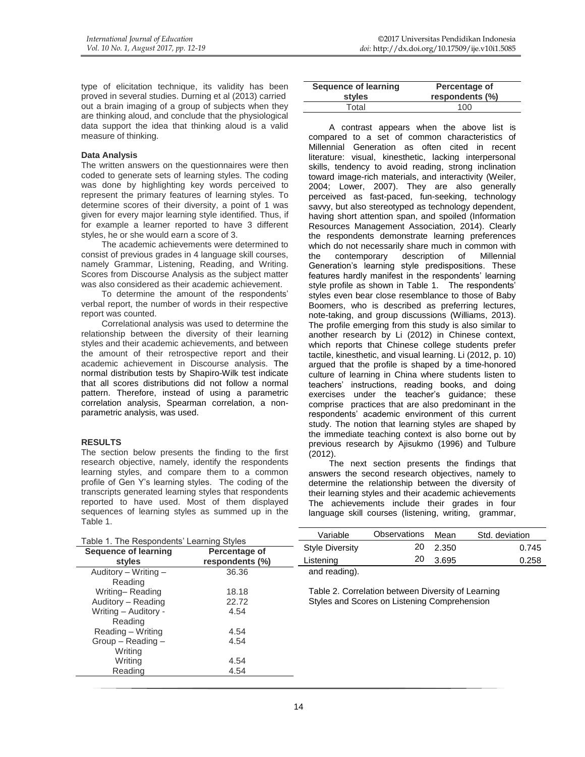type of elicitation technique, its validity has been proved in several studies. Durning et al (2013) carried out a brain imaging of a group of subjects when they are thinking aloud, and conclude that the physiological data support the idea that thinking aloud is a valid measure of thinking.

## **Data Analysis**

The written answers on the questionnaires were then coded to generate sets of learning styles. The coding was done by highlighting key words perceived to represent the primary features of learning styles. To determine scores of their diversity, a point of 1 was given for every major learning style identified. Thus, if for example a learner reported to have 3 different styles, he or she would earn a score of 3.

The academic achievements were determined to consist of previous grades in 4 language skill courses, namely Grammar, Listening, Reading, and Writing. Scores from Discourse Analysis as the subject matter was also considered as their academic achievement.

To determine the amount of the respondents' verbal report, the number of words in their respective report was counted.

Correlational analysis was used to determine the relationship between the diversity of their learning styles and their academic achievements, and between the amount of their retrospective report and their academic achievement in Discourse analysis. The normal distribution tests by Shapiro-Wilk test indicate that all scores distributions did not follow a normal pattern. Therefore, instead of using a parametric correlation analysis, Spearman correlation, a nonparametric analysis, was used.

## **RESULTS**

The section below presents the finding to the first research objective, namely, identify the respondents learning styles, and compare them to a common profile of Gen Y's learning styles. The coding of the transcripts generated learning styles that respondents reported to have used. Most of them displayed sequences of learning styles as summed up in the Table 1.

| <b>Sequence of learning</b> | Percentage of   |
|-----------------------------|-----------------|
| styles                      | respondents (%) |
| Total                       | 100             |

A contrast appears when the above list is compared to a set of common characteristics of Millennial Generation as often cited in recent literature: visual, kinesthetic, lacking interpersonal skills, tendency to avoid reading, strong inclination toward image-rich materials, and interactivity (Weiler, 2004; Lower, 2007). They are also generally perceived as fast-paced, fun-seeking, technology savvy, but also stereotyped as technology dependent, having short attention span, and spoiled (Information Resources Management Association, 2014). Clearly the respondents demonstrate learning preferences which do not necessarily share much in common with the contemporary description of Millennial Generation's learning style predispositions. These features hardly manifest in the respondents' learning style profile as shown in Table 1. The respondents' styles even bear close resemblance to those of Baby Boomers, who is described as preferring lectures, note-taking, and group discussions (Williams, 2013). The profile emerging from this study is also similar to another research by Li (2012) in Chinese context, which reports that Chinese college students prefer tactile, kinesthetic, and visual learning. Li (2012, p. 10) argued that the profile is shaped by a time-honored culture of learning in China where students listen to teachers' instructions, reading books, and doing exercises under the teacher's guidance; these comprise practices that are also predominant in the respondents' academic environment of this current study. The notion that learning styles are shaped by the immediate teaching context is also borne out by previous research by Ajisukmo (1996) and Tulbure (2012).

The next section presents the findings that answers the second research objectives, namely to determine the relationship between the diversity of their learning styles and their academic achievements The achievements include their grades in four language skill courses (listening, writing, grammar,

| Table 1. The Respondents' Learning Styles |                                  | Variable               | <b>Observations</b>                                | Mean  | Std. deviation |
|-------------------------------------------|----------------------------------|------------------------|----------------------------------------------------|-------|----------------|
|                                           |                                  | <b>Style Diversity</b> | 20                                                 | 2.350 | 0.745          |
| Sequence of learning<br>styles            | Percentage of<br>respondents (%) | Listenina              | 20                                                 | 3.695 | 0.258          |
| Auditory $-$ Writing $-$                  | 36.36                            | and reading).          |                                                    |       |                |
| Reading                                   |                                  |                        |                                                    |       |                |
| Writing-Reading                           | 18.18                            |                        | Table 2. Correlation between Diversity of Learning |       |                |
| Auditory - Reading                        | 22.72                            |                        | Styles and Scores on Listening Comprehension       |       |                |
| Writing - Auditory -                      | 4.54                             |                        |                                                    |       |                |
| Reading                                   |                                  |                        |                                                    |       |                |
| Reading – Writing                         | 4.54                             |                        |                                                    |       |                |
| $Group - Reading -$                       | 4.54                             |                        |                                                    |       |                |
| Writina                                   |                                  |                        |                                                    |       |                |
| Writina                                   | 4.54                             |                        |                                                    |       |                |
| Reading                                   | 4.54                             |                        |                                                    |       |                |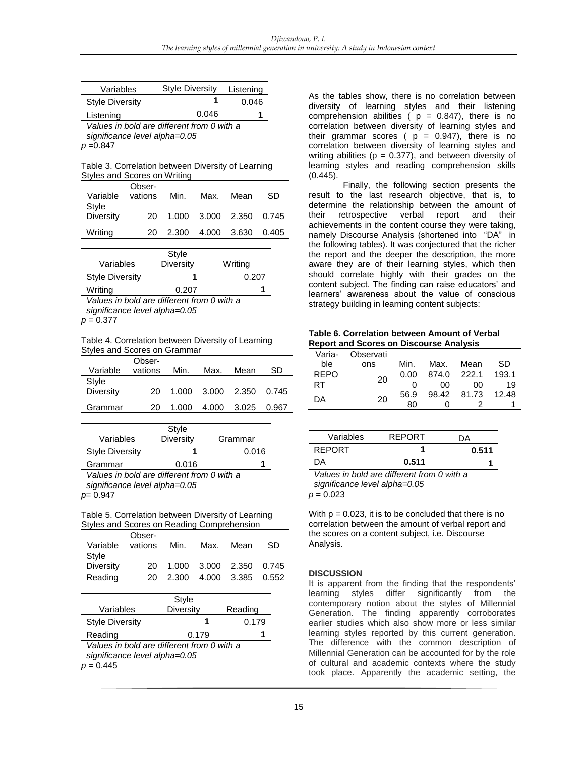| Variables                                  | <b>Style Diversity</b> | Listening |  |
|--------------------------------------------|------------------------|-----------|--|
| <b>Style Diversity</b>                     |                        | 0.046     |  |
| Listening                                  | 0.046                  |           |  |
| Values in bold are different from 0 with a |                        |           |  |

*significance level alpha=0.05 p* =0.847

Table 3. Correlation between Diversity of Learning Styles and Scores on Writing

|           | Obser-  |       |                   |      |       |
|-----------|---------|-------|-------------------|------|-------|
| Variable  | vations | Min.  | Max.              | Mean | SD    |
| Style     |         |       |                   |      |       |
| Diversity | 20.     |       | 1.000 3.000 2.350 |      | 0.745 |
|           |         |       |                   |      |       |
| Writing   | 20.     | 2.300 | 4.000 3.630       |      | 0.405 |
|           |         |       |                   |      |       |

|                        | Style     |         |  |
|------------------------|-----------|---------|--|
| Variables              | Diversity | Writing |  |
| <b>Style Diversity</b> |           | 0.207   |  |
| Writing                | 0.207     |         |  |
|                        |           |         |  |

*Values in bold are different from 0 with a significance level alpha=0.05 p* = 0.377

Table 4. Correlation between Diversity of Learning Styles and Scores on Grammar

|           | Obser-  |       |                         |             |       |
|-----------|---------|-------|-------------------------|-------------|-------|
| Variable  | vations | Min.  | Max.                    | Mean        | SD    |
| Style     |         |       |                         |             |       |
| Diversity | 20.     |       | 1.000 3.000 2.350 0.745 |             |       |
| Grammar   | 20      | 1.000 |                         | 4.000 3.025 | 0.967 |
|           |         |       |                         |             |       |

| Variables                                                      | Style<br>Diversity | Grammar |  |
|----------------------------------------------------------------|--------------------|---------|--|
| <b>Style Diversity</b>                                         |                    | 0.016   |  |
| Grammar                                                        | 0.016              |         |  |
| $\lambda$ objects in botal one alifferent from $\Omega$ with o |                    |         |  |

*Values in bold are different from 0 with a significance level alpha=0.05 p*= 0.947

Table 5. Correlation between Diversity of Learning Styles and Scores on Reading Comprehension

| Variable         | Obser-<br>vations | Min.  | Max.        | Mean        | SD.   |
|------------------|-------------------|-------|-------------|-------------|-------|
| Style            |                   |       |             |             |       |
| <b>Diversity</b> | 20.               | 1.000 | 3.000 2.350 |             | 0.745 |
| Reading          | 20.               | 2.300 |             | 4.000 3.385 | 0.552 |

| Variables                                                                   | <b>Style</b><br><b>Diversity</b> | Reading |  |  |
|-----------------------------------------------------------------------------|----------------------------------|---------|--|--|
| <b>Style Diversity</b>                                                      |                                  | 0.179   |  |  |
| Reading                                                                     | 0.179                            |         |  |  |
| Values in bold are different from 0 with a<br>significance level alpha=0.05 |                                  |         |  |  |

 $p = 0.445$ 

As the tables show, there is no correlation between diversity of learning styles and their listening comprehension abilities ( $p = 0.847$ ), there is no correlation between diversity of learning styles and their grammar scores ( $p = 0.947$ ), there is no correlation between diversity of learning styles and writing abilities ( $p = 0.377$ ), and between diversity of learning styles and reading comprehension skills (0.445).

Finally, the following section presents the result to the last research objective, that is, to determine the relationship between the amount of<br>their retrospective verbal report and their their retrospective verbal report and their achievements in the content course they were taking, namely Discourse Analysis (shortened into "DA" in the following tables). It was conjectured that the richer the report and the deeper the description, the more aware they are of their learning styles, which then should correlate highly with their grades on the content subject. The finding can raise educators' and learners' awareness about the value of conscious strategy building in learning content subjects:

**Table 6. Correlation between Amount of Verbal Report and Scores on Discourse Analysis**

| Varia-      | Observati |      |             |             |       |
|-------------|-----------|------|-------------|-------------|-------|
| ble         | ons       | Min. | Max.        | Mean        | SD    |
| <b>REPO</b> | 20        | 0.00 | 874.0 222.1 |             | 193.1 |
| RT          |           |      | 00          | 00          | 19    |
| DА          | 20        | 56.9 |             | 98.42 81.73 | 12.48 |
|             |           | 80   |             |             |       |

| Variables     | <b>REPORT</b> | DА    |
|---------------|---------------|-------|
| <b>REPORT</b> |               | 0.511 |
| DA.           | 0.511         |       |
|               |               |       |

*Values in bold are different from 0 with a significance level alpha=0.05*  $p = 0.023$ 

With  $p = 0.023$ , it is to be concluded that there is no correlation between the amount of verbal report and the scores on a content subject, i.e. Discourse Analysis.

## **DISCUSSION**

It is apparent from the finding that the respondents' learning styles differ significantly from the contemporary notion about the styles of Millennial Generation. The finding apparently corroborates earlier studies which also show more or less similar learning styles reported by this current generation. The difference with the common description of Millennial Generation can be accounted for by the role of cultural and academic contexts where the study took place. Apparently the academic setting, the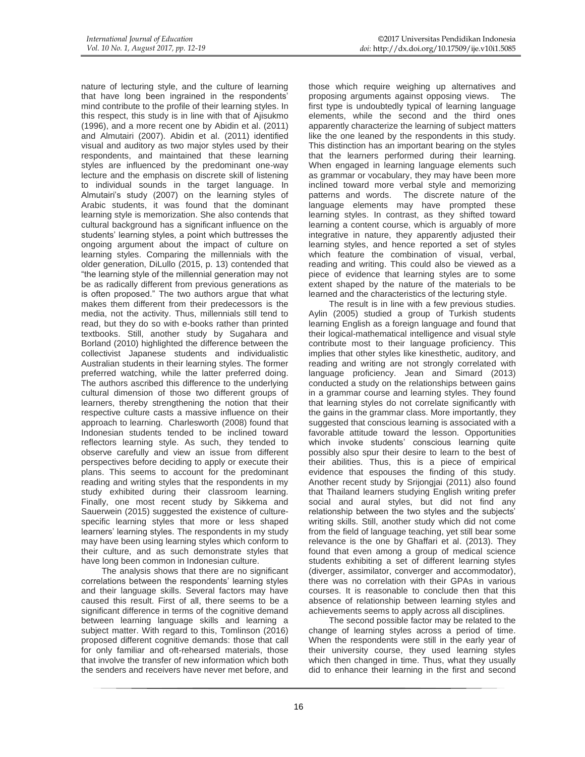nature of lecturing style, and the culture of learning that have long been ingrained in the respondents' mind contribute to the profile of their learning styles. In this respect, this study is in line with that of Ajisukmo (1996), and a more recent one by Abidin et al. (2011) and Almutairi (2007). Abidin et al. (2011) identified visual and auditory as two major styles used by their respondents, and maintained that these learning styles are influenced by the predominant one-way lecture and the emphasis on discrete skill of listening to individual sounds in the target language. In Almutairi's study (2007) on the learning styles of Arabic students, it was found that the dominant learning style is memorization. She also contends that cultural background has a significant influence on the students' learning styles, a point which buttresses the ongoing argument about the impact of culture on learning styles. Comparing the millennials with the older generation, DiLullo (2015, p. 13) contended that "the learning style of the millennial generation may not be as radically different from previous generations as is often proposed." The two authors argue that what makes them different from their predecessors is the media, not the activity. Thus, millennials still tend to read, but they do so with e-books rather than printed textbooks. Still, another study by Sugahara and Borland (2010) highlighted the difference between the collectivist Japanese students and individualistic Australian students in their learning styles. The former preferred watching, while the latter preferred doing. The authors ascribed this difference to the underlying cultural dimension of those two different groups of learners, thereby strengthening the notion that their respective culture casts a massive influence on their approach to learning. Charlesworth (2008) found that Indonesian students tended to be inclined toward reflectors learning style. As such, they tended to observe carefully and view an issue from different perspectives before deciding to apply or execute their plans. This seems to account for the predominant reading and writing styles that the respondents in my study exhibited during their classroom learning. Finally, one most recent study by Sikkema and Sauerwein (2015) suggested the existence of culturespecific learning styles that more or less shaped learners' learning styles. The respondents in my study may have been using learning styles which conform to their culture, and as such demonstrate styles that have long been common in Indonesian culture.

The analysis shows that there are no significant correlations between the respondents' learning styles and their language skills. Several factors may have caused this result. First of all, there seems to be a significant difference in terms of the cognitive demand between learning language skills and learning a subject matter. With regard to this, Tomlinson (2016) proposed different cognitive demands: those that call for only familiar and oft-rehearsed materials, those that involve the transfer of new information which both the senders and receivers have never met before, and those which require weighing up alternatives and proposing arguments against opposing views. The first type is undoubtedly typical of learning language elements, while the second and the third ones apparently characterize the learning of subject matters like the one leaned by the respondents in this study. This distinction has an important bearing on the styles that the learners performed during their learning. When engaged in learning language elements such as grammar or vocabulary, they may have been more inclined toward more verbal style and memorizing patterns and words. The discrete nature of the language elements may have prompted these learning styles. In contrast, as they shifted toward learning a content course, which is arguably of more integrative in nature, they apparently adjusted their learning styles, and hence reported a set of styles which feature the combination of visual, verbal, reading and writing. This could also be viewed as a piece of evidence that learning styles are to some extent shaped by the nature of the materials to be learned and the characteristics of the lecturing style.

The result is in line with a few previous studies. Aylin (2005) studied a group of Turkish students learning English as a foreign language and found that their logical-mathematical intelligence and visual style contribute most to their language proficiency. This implies that other styles like kinesthetic, auditory, and reading and writing are not strongly correlated with language proficiency. Jean and Simard (2013) conducted a study on the relationships between gains in a grammar course and learning styles. They found that learning styles do not correlate significantly with the gains in the grammar class. More importantly, they suggested that conscious learning is associated with a favorable attitude toward the lesson. Opportunities which invoke students' conscious learning quite possibly also spur their desire to learn to the best of their abilities. Thus, this is a piece of empirical evidence that espouses the finding of this study. Another recent study by Srijongjai (2011) also found that Thailand learners studying English writing prefer social and aural styles, but did not find any relationship between the two styles and the subjects' writing skills. Still, another study which did not come from the field of language teaching, yet still bear some relevance is the one by Ghaffari et al. (2013). They found that even among a group of medical science students exhibiting a set of different learning styles (diverger, assimilator, converger and accommodator), there was no correlation with their GPAs in various courses. It is reasonable to conclude then that this absence of relationship between learning styles and achievements seems to apply across all disciplines.

The second possible factor may be related to the change of learning styles across a period of time. When the respondents were still in the early year of their university course, they used learning styles which then changed in time. Thus, what they usually did to enhance their learning in the first and second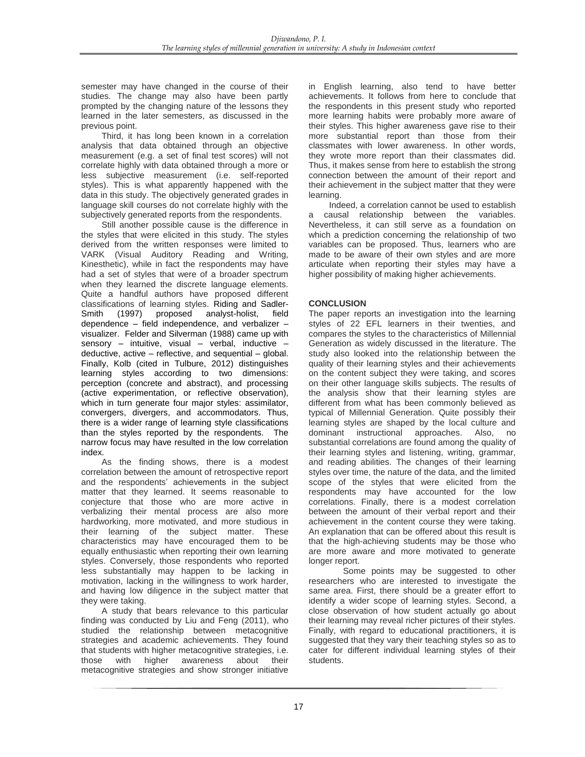semester may have changed in the course of their studies. The change may also have been partly prompted by the changing nature of the lessons they learned in the later semesters, as discussed in the previous point.

Third, it has long been known in a correlation analysis that data obtained through an objective measurement (e.g. a set of final test scores) will not correlate highly with data obtained through a more or less subjective measurement (i.e. self-reported styles). This is what apparently happened with the data in this study. The objectively generated grades in language skill courses do not correlate highly with the subjectively generated reports from the respondents.

Still another possible cause is the difference in the styles that were elicited in this study. The styles derived from the written responses were limited to VARK (Visual Auditory Reading and Writing, Kinesthetic), while in fact the respondents may have had a set of styles that were of a broader spectrum when they learned the discrete language elements. Quite a handful authors have proposed different classifications of learning styles. Riding and Sadler-<br>Smith (1997) proposed analyst-holist, field Smith (1997) proposed analyst-holist, field dependence – field independence, and verbalizer – visualizer. Felder and Silverman (1988) came up with sensory – intuitive, visual – verbal, inductive – deductive, active – reflective, and sequential – global. Finally, Kolb (cited in Tulbure, 2012) distinguishes learning styles according to two dimensions: perception (concrete and abstract), and processing (active experimentation, or reflective observation), which in turn generate four major styles: assimilator, convergers, divergers, and accommodators. Thus, there is a wider range of learning style classifications than the styles reported by the respondents. The narrow focus may have resulted in the low correlation index.

As the finding shows, there is a modest correlation between the amount of retrospective report and the respondents' achievements in the subject matter that they learned. It seems reasonable to conjecture that those who are more active in verbalizing their mental process are also more hardworking, more motivated, and more studious in their learning of the subject matter. These characteristics may have encouraged them to be equally enthusiastic when reporting their own learning styles. Conversely, those respondents who reported less substantially may happen to be lacking in motivation, lacking in the willingness to work harder, and having low diligence in the subject matter that they were taking.

A study that bears relevance to this particular finding was conducted by Liu and Feng (2011), who studied the relationship between metacognitive strategies and academic achievements. They found that students with higher metacognitive strategies, i.e. those with higher awareness about their metacognitive strategies and show stronger initiative in English learning, also tend to have better achievements. It follows from here to conclude that the respondents in this present study who reported more learning habits were probably more aware of their styles. This higher awareness gave rise to their more substantial report than those from their classmates with lower awareness. In other words, they wrote more report than their classmates did. Thus, it makes sense from here to establish the strong connection between the amount of their report and their achievement in the subject matter that they were learning.

Indeed, a correlation cannot be used to establish a causal relationship between the variables. Nevertheless, it can still serve as a foundation on which a prediction concerning the relationship of two variables can be proposed. Thus, learners who are made to be aware of their own styles and are more articulate when reporting their styles may have a higher possibility of making higher achievements.

# **CONCLUSION**

The paper reports an investigation into the learning styles of 22 EFL learners in their twenties, and compares the styles to the characteristics of Millennial Generation as widely discussed in the literature. The study also looked into the relationship between the quality of their learning styles and their achievements on the content subject they were taking, and scores on their other language skills subjects. The results of the analysis show that their learning styles are different from what has been commonly believed as typical of Millennial Generation. Quite possibly their learning styles are shaped by the local culture and dominant instructional approaches. Also, no substantial correlations are found among the quality of their learning styles and listening, writing, grammar, and reading abilities. The changes of their learning styles over time, the nature of the data, and the limited scope of the styles that were elicited from the respondents may have accounted for the low correlations. Finally, there is a modest correlation between the amount of their verbal report and their achievement in the content course they were taking. An explanation that can be offered about this result is that the high-achieving students may be those who are more aware and more motivated to generate longer report.

Some points may be suggested to other researchers who are interested to investigate the same area. First, there should be a greater effort to identify a wider scope of learning styles. Second, a close observation of how student actually go about their learning may reveal richer pictures of their styles. Finally, with regard to educational practitioners, it is suggested that they vary their teaching styles so as to cater for different individual learning styles of their students.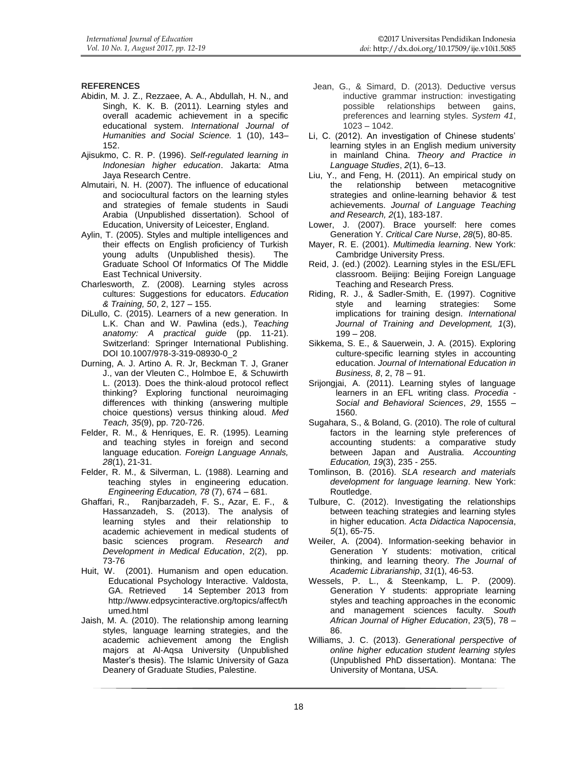## **REFERENCES**

- Abidin, M. J. Z., Rezzaee, A. A., Abdullah, H. N., and Singh, K. K. B. (2011). Learning styles and overall academic achievement in a specific educational system. *International Journal of Humanities and Social Science.* 1 (10), 143– 152.
- Ajisukmo, C. R. P. (1996). *Self-regulated learning in Indonesian higher education*. Jakarta: Atma Jaya Research Centre.
- Almutairi, N. H. (2007). The influence of educational and sociocultural factors on the learning styles and strategies of female students in Saudi Arabia (Unpublished dissertation). School of Education, University of Leicester, England.
- Aylin, T. (2005). Styles and multiple intelligences and their effects on English proficiency of Turkish young adults (Unpublished thesis). The Graduate School Of Informatics Of The Middle East Technical University.
- Charlesworth, Z. (2008). Learning styles across cultures: Suggestions for educators. *Education & Training, 50*, 2, 127 – 155.
- DiLullo, C. (2015). Learners of a new generation. In L.K. Chan and W. Pawlina (eds.), *Teaching anatomy: A practical guide* (pp. 11-21). Switzerland: Springer International Publishing. DOI 10.1007/978-3-319-08930-0\_2
- Durning, A. J. Artino A. R. Jr, Beckman T. J, Graner J., van der Vleuten C., Holmboe E, & Schuwirth L. (2013). Does the think-aloud protocol reflect thinking? Exploring functional neuroimaging differences with thinking (answering multiple choice questions) versus thinking aloud. *Med Teach, 35*(9), pp. 720-726.
- Felder, R. M., & Henriques, E. R. (1995). Learning and teaching styles in foreign and second language education. *Foreign Language Annals, 28*(1), 21-31.
- Felder, R. M., & Silverman, L. (1988). Learning and teaching styles in engineering education. *Engineering Education, 78* (7), 674 – 681.
- Ghaffari, R., Ranjbarzadeh, F. S., Azar, E. F., & Hassanzadeh, S. (2013). The analysis of learning styles and their relationship to academic achievement in medical students of basic sciences program. *Research and Development in Medical Education*, 2(2), pp. 73-76
- Huit, W. (2001). Humanism and open education. Educational Psychology Interactive. Valdosta, GA. Retrieved 14 September 2013 from http://www.edpsycinteractive.org/topics/affect/h umed.html
- Jaish, M. A. (2010). The relationship among learning styles, language learning strategies, and the academic achievement among the English majors at Al-Aqsa University (Unpublished Master's thesis). The Islamic University of Gaza Deanery of Graduate Studies, Palestine.
- Jean, G., & Simard, D. (2013). Deductive versus inductive grammar instruction: investigating possible relationships between gains, preferences and learning styles. *System 41*, 1023 – 1042.
- Li, C. (2012). An investigation of Chinese students' learning styles in an English medium university in mainland China. *Theory and Practice in Language Studies*, *2*(1), 6–13.
- Liu, Y., and Feng, H. (2011). An empirical study on the relationship between metacognitive strategies and online-learning behavior & test achievements. *Journal of Language Teaching and Research, 2*(1), 183-187.
- Lower, J. (2007). Brace yourself: here comes Generation Y. *Critical Care Nurse*, *28*(5), 80-85.
- Mayer, R. E. (2001). *Multimedia learning*. New York: Cambridge University Press.
- Reid, J. (ed.) (2002). Learning styles in the ESL/EFL classroom. Beijing: Beijing Foreign Language Teaching and Research Press.
- Riding, R. J., & Sadler-Smith, E. (1997). Cognitive style and learning strategies: Some implications for training design. *International Journal of Training and Development, 1*(3),  $199 - 208.$
- Sikkema, S. E., & Sauerwein, J. A. (2015). Exploring culture-specific learning styles in accounting education. *Journal of International Education in Business, 8*, 2, 78 – 91.
- Srijongjai, A. (2011). Learning styles of language learners in an EFL writing class. *Procedia - Social and Behavioral Sciences*, *29*, 1555 – 1560.
- Sugahara, S., & Boland, G. (2010). The role of cultural factors in the learning style preferences of accounting students: a comparative study between Japan and Australia. *Accounting Education, 19*(3), 235 - 255.
- Tomlinson, B. (2016). *SLA research and materials development for language learning*. New York: Routledge.
- Tulbure, C. (2012). Investigating the relationships between teaching strategies and learning styles in higher education. *Acta Didactica Napocensia*, *5*(1), 65-75.
- Weiler, A. (2004). Information-seeking behavior in Generation Y students: motivation, critical thinking, and learning theory. *The Journal of Academic Librarianship*, *31*(1), 46-53.
- Wessels, P. L., & Steenkamp, L. P. (2009). Generation Y students: appropriate learning styles and teaching approaches in the economic and management sciences faculty. *South African Journal of Higher Education*, *23*(5), 78 – 86.
- Williams, J. C. (2013). *Generational perspective of online higher education student learning styles* (Unpublished PhD dissertation). Montana: The University of Montana, USA.